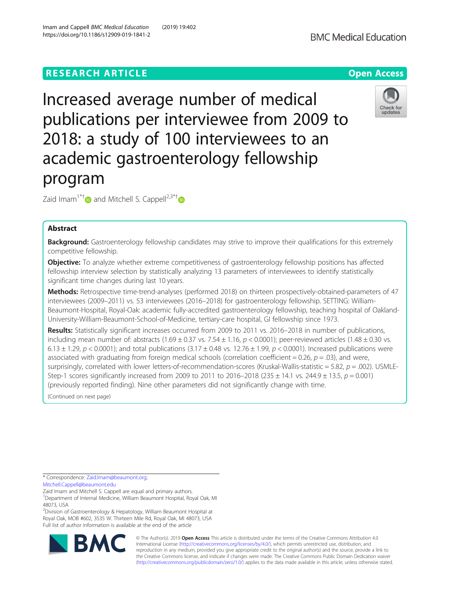# **RESEARCH ARTICLE Example 2014 12:30 The Contract of Contract ACCESS**

Increased average number of medical publications per interviewee from 2009 to 2018: a study of 100 interviewees to an academic gastroenterology fellowship program

Zaid Imam<sup>1\*[†](http://orcid.org/0000-0002-3030-6188)</sup> $\bullet$  and Mitchell S. Cappell<sup>2,3\*†</sup> $\bullet$ 

## Abstract

Background: Gastroenterology fellowship candidates may strive to improve their qualifications for this extremely competitive fellowship.

**Objective:** To analyze whether extreme competitiveness of gastroenterology fellowship positions has affected fellowship interview selection by statistically analyzing 13 parameters of interviewees to identify statistically significant time changes during last 10 years.

Methods: Retrospective time-trend-analyses (performed 2018) on thirteen prospectively-obtained-parameters of 47 interviewees (2009–2011) vs. 53 interviewees (2016–2018) for gastroenterology fellowship. SETTING: William-Beaumont-Hospital, Royal-Oak: academic fully-accredited gastroenterology fellowship, teaching hospital of Oakland-University-William-Beaumont-School-of-Medicine, tertiary-care hospital, GI fellowship since 1973.

Results: Statistically significant increases occurred from 2009 to 2011 vs. 2016–2018 in number of publications, including mean number of: abstracts (1.69  $\pm$  0.37 vs. 7.54  $\pm$  1.16,  $p$  < 0.0001); peer-reviewed articles (1.48  $\pm$  0.30 vs. 6.13  $\pm$  1.29, p < 0.0001); and total publications (3.17  $\pm$  0.48 vs. 12.76  $\pm$  1.99, p < 0.0001). Increased publications were associated with graduating from foreign medical schools (correlation coefficient = 0.26,  $p = .03$ ), and were, surprisingly, correlated with lower letters-of-recommendation-scores (Kruskal-Wallis-statistic = 5.82,  $p = .002$ ). USMLE-Step-1 scores significantly increased from 2009 to 2011 to 2016–2018 (235  $\pm$  14.1 vs. 244.9  $\pm$  13.5,  $p = 0.001$ ) (previously reported finding). Nine other parameters did not significantly change with time.

(Continued on next page)

<sup>2</sup>Division of Gastroenterology & Hepatology, William Beaumont Hospital at Royal Oak, MOB #602, 3535 W. Thirteen Mile Rd, Royal Oak, MI 48073, USA Full list of author information is available at the end of the article



© The Author(s). 2019 **Open Access** This article is distributed under the terms of the Creative Commons Attribution 4.0 International License [\(http://creativecommons.org/licenses/by/4.0/](http://creativecommons.org/licenses/by/4.0/)), which permits unrestricted use, distribution, and reproduction in any medium, provided you give appropriate credit to the original author(s) and the source, provide a link to the Creative Commons license, and indicate if changes were made. The Creative Commons Public Domain Dedication waiver [\(http://creativecommons.org/publicdomain/zero/1.0/](http://creativecommons.org/publicdomain/zero/1.0/)) applies to the data made available in this article, unless otherwise stated.





<sup>\*</sup> Correspondence: [Zaid.Imam@beaumont.org](mailto:Zaid.Imam@beaumont.org); [Mitchell.Cappell@beaumont.edu](mailto:Mitchell.Cappell@beaumont.edu)

Zaid Imam and Mitchell S. Cappell are equal and primary authors.

<sup>&</sup>lt;sup>1</sup>Department of Internal Medicine, William Beaumont Hospital, Royal Oak, MI 48073, USA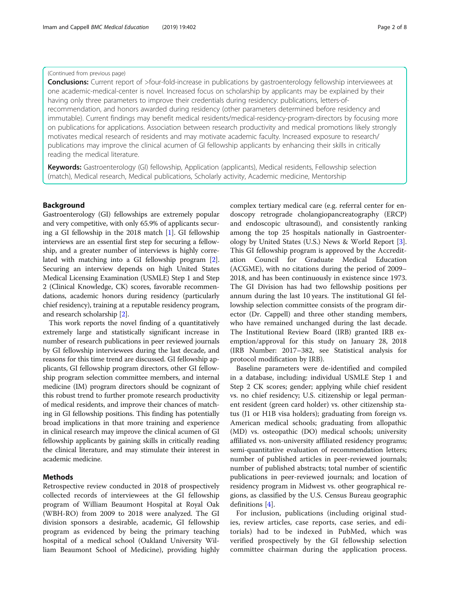## (Continued from previous page)

**Conclusions:** Current report of >four-fold-increase in publications by gastroenterology fellowship interviewees at one academic-medical-center is novel. Increased focus on scholarship by applicants may be explained by their having only three parameters to improve their credentials during residency: publications, letters-ofrecommendation, and honors awarded during residency (other parameters determined before residency and immutable). Current findings may benefit medical residents/medical-residency-program-directors by focusing more on publications for applications. Association between research productivity and medical promotions likely strongly motivates medical research of residents and may motivate academic faculty. Increased exposure to research/ publications may improve the clinical acumen of GI fellowship applicants by enhancing their skills in critically reading the medical literature.

Keywords: Gastroenterology (GI) fellowship, Application (applicants), Medical residents, Fellowship selection (match), Medical research, Medical publications, Scholarly activity, Academic medicine, Mentorship

## Background

Gastroenterology (GI) fellowships are extremely popular and very competitive, with only 65.9% of applicants securing a GI fellowship in the 2018 match [\[1](#page-7-0)]. GI fellowship interviews are an essential first step for securing a fellowship, and a greater number of interviews is highly correlated with matching into a GI fellowship program [[2](#page-7-0)]. Securing an interview depends on high United States Medical Licensing Examination (USMLE) Step 1 and Step 2 (Clinical Knowledge, CK) scores, favorable recommendations, academic honors during residency (particularly chief residency), training at a reputable residency program, and research scholarship [[2\]](#page-7-0).

This work reports the novel finding of a quantitatively extremely large and statistically significant increase in number of research publications in peer reviewed journals by GI fellowship interviewees during the last decade, and reasons for this time trend are discussed. GI fellowship applicants, GI fellowship program directors, other GI fellowship program selection committee members, and internal medicine (IM) program directors should be cognizant of this robust trend to further promote research productivity of medical residents, and improve their chances of matching in GI fellowship positions. This finding has potentially broad implications in that more training and experience in clinical research may improve the clinical acumen of GI fellowship applicants by gaining skills in critically reading the clinical literature, and may stimulate their interest in academic medicine.

## Methods

Retrospective review conducted in 2018 of prospectively collected records of interviewees at the GI fellowship program of William Beaumont Hospital at Royal Oak (WBH-RO) from 2009 to 2018 were analyzed. The GI division sponsors a desirable, academic, GI fellowship program as evidenced by being the primary teaching hospital of a medical school (Oakland University William Beaumont School of Medicine), providing highly complex tertiary medical care (e.g. referral center for endoscopy retrograde cholangiopancreatography (ERCP) and endoscopic ultrasound), and consistently ranking among the top 25 hospitals nationally in Gastroenterology by United States (U.S.) News & World Report [\[3](#page-7-0)]. This GI fellowship program is approved by the Accreditation Council for Graduate Medical Education (ACGME), with no citations during the period of 2009– 2018, and has been continuously in existence since 1973. The GI Division has had two fellowship positions per annum during the last 10 years. The institutional GI fellowship selection committee consists of the program director (Dr. Cappell) and three other standing members, who have remained unchanged during the last decade. The Institutional Review Board (IRB) granted IRB exemption/approval for this study on January 28, 2018 (IRB Number: 2017–382, see Statistical analysis for protocol modification by IRB).

Baseline parameters were de-identified and compiled in a database, including: individual USMLE Step 1 and Step 2 CK scores; gender; applying while chief resident vs. no chief residency; U.S. citizenship or legal permanent resident (green card holder) vs. other citizenship status (J1 or H1B visa holders); graduating from foreign vs. American medical schools; graduating from allopathic (MD) vs. osteopathic (DO) medical schools; university affiliated vs. non-university affiliated residency programs; semi-quantitative evaluation of recommendation letters; number of published articles in peer-reviewed journals; number of published abstracts; total number of scientific publications in peer-reviewed journals; and location of residency program in Midwest vs. other geographical regions, as classified by the U.S. Census Bureau geographic definitions [[4\]](#page-7-0).

For inclusion, publications (including original studies, review articles, case reports, case series, and editorials) had to be indexed in PubMed, which was verified prospectively by the GI fellowship selection committee chairman during the application process.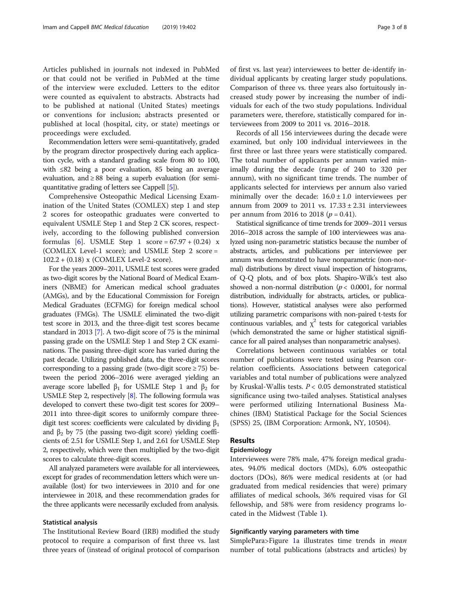Articles published in journals not indexed in PubMed or that could not be verified in PubMed at the time of the interview were excluded. Letters to the editor were counted as equivalent to abstracts. Abstracts had to be published at national (United States) meetings or conventions for inclusion; abstracts presented or published at local (hospital, city, or state) meetings or proceedings were excluded.

Recommendation letters were semi-quantitatively, graded by the program director prospectively during each application cycle, with a standard grading scale from 80 to 100, with ≤82 being a poor evaluation, 85 being an average evaluation, and  $\geq 88$  being a superb evaluation (for semiquantitative grading of letters see Cappell [\[5\]](#page-7-0)).

Comprehensive Osteopathic Medical Licensing Examination of the United States (COMLEX) step 1 and step 2 scores for osteopathic graduates were converted to equivalent USMLE Step 1 and Step 2 CK scores, respectively, according to the following published conversion formulas [\[6](#page-7-0)]. USMLE Step 1 score =  $67.97 + (0.24)$  x (COMLEX Level-1 score); and USMLE Step 2 score = 102.2 + (0.18) x (COMLEX Level-2 score).

For the years 2009–2011, USMLE test scores were graded as two-digit scores by the National Board of Medical Examiners (NBME) for American medical school graduates (AMGs), and by the Educational Commission for Foreign Medical Graduates (ECFMG) for foreign medical school graduates (FMGs). The USMLE eliminated the two-digit test score in 2013, and the three-digit test scores became standard in 2013 [\[7\]](#page-7-0). A two-digit score of 75 is the minimal passing grade on the USMLE Step 1 and Step 2 CK examinations. The passing three-digit score has varied during the past decade. Utilizing published data, the three-digit scores corresponding to a passing grade (two-digit score  $\geq$  75) between the period 2006–2016 were averaged yielding an average score labelled  $β_1$  for USMLE Step 1 and  $β_2$  for USMLE Step 2, respectively  $[8]$  $[8]$ . The following formula was developed to convert these two-digit test scores for 2009– 2011 into three-digit scores to uniformly compare threedigit test scores: coefficients were calculated by dividing  $β_1$ and  $β_2$  by 75 (the passing two-digit score) yielding coefficients of: 2.51 for USMLE Step 1, and 2.61 for USMLE Step 2, respectively, which were then multiplied by the two-digit scores to calculate three-digit scores.

All analyzed parameters were available for all interviewees, except for grades of recommendation letters which were unavailable (lost) for two interviewees in 2010 and for one interviewee in 2018, and these recommendation grades for the three applicants were necessarily excluded from analysis.

## Statistical analysis

The Institutional Review Board (IRB) modified the study protocol to require a comparison of first three vs. last three years of (instead of original protocol of comparison

of first vs. last year) interviewees to better de-identify individual applicants by creating larger study populations. Comparison of three vs. three years also fortuitously increased study power by increasing the number of individuals for each of the two study populations. Individual parameters were, therefore, statistically compared for interviewees from 2009 to 2011 vs. 2016–2018.

Records of all 156 interviewees during the decade were examined, but only 100 individual interviewees in the first three or last three years were statistically compared. The total number of applicants per annum varied minimally during the decade (range of 240 to 320 per annum), with no significant time trends. The number of applicants selected for interviews per annum also varied minimally over the decade:  $16.0 \pm 1.0$  interviewees per annum from 2009 to 2011 vs.  $17.33 \pm 2.31$  interviewees per annum from 2016 to 2018 ( $p = 0.41$ ).

Statistical significance of time trends for 2009–2011 versus 2016–2018 across the sample of 100 interviewees was analyzed using non-parametric statistics because the number of abstracts, articles, and publications per interviewee per annum was demonstrated to have nonparametric (non-normal) distributions by direct visual inspection of histograms, of Q-Q plots, and of box plots. Shapiro-Wilk's test also showed a non-normal distribution ( $p < 0.0001$ , for normal distribution, individually for abstracts, articles, or publications). However, statistical analyses were also performed utilizing parametric comparisons with non-paired t-tests for continuous variables, and  $\chi^2$  tests for categorical variables (which demonstrated the same or higher statistical significance for all paired analyses than nonparametric analyses).

Correlations between continuous variables or total number of publications were tested using Pearson correlation coefficients. Associations between categorical variables and total number of publications were analyzed by Kruskal-Wallis tests.  $P < 0.05$  demonstrated statistical significance using two-tailed analyses. Statistical analyses were performed utilizing International Business Machines (IBM) Statistical Package for the Social Sciences (SPSS) 25, (IBM Corporation: Armonk, NY, 10504).

## Results

## Epidemiology

Interviewees were 78% male, 47% foreign medical graduates, 94.0% medical doctors (MDs), 6.0% osteopathic doctors (DOs), 86% were medical residents at (or had graduated from medical residencies that were) primary affiliates of medical schools, 36% required visas for GI fellowship, and 58% were from residency programs located in the Midwest (Table [1](#page-3-0)).

## Significantly varying parameters with time

SimplePara>Figure [1](#page-4-0)a illustrates time trends in mean number of total publications (abstracts and articles) by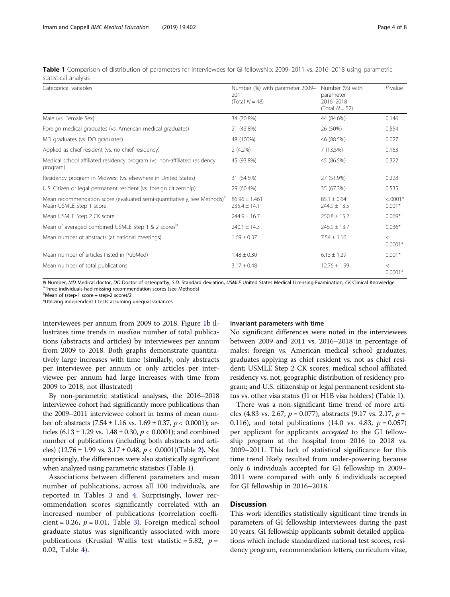<span id="page-3-0"></span>

| Table 1 Comparison of distribution of parameters for interviewees for GI fellowship: 2009–2011 vs. 2016–2018 using parametric |  |  |  |  |
|-------------------------------------------------------------------------------------------------------------------------------|--|--|--|--|
| statistical analysis                                                                                                          |  |  |  |  |

| Categorical variables                                                                                          | Number (%) with parameter 2009-<br>2011<br>(Total $N = 48$ ) | Number (%) with<br>parameter<br>2016-2018<br>(Total $N = 52$ ) | $P$ -value              |
|----------------------------------------------------------------------------------------------------------------|--------------------------------------------------------------|----------------------------------------------------------------|-------------------------|
| Male (vs. Female Sex)                                                                                          | 34 (70.8%)                                                   | 44 (84.6%)                                                     | 0.146                   |
| Foreign medical graduates (vs. American medical graduates)                                                     | 21 (43.8%)                                                   | 26 (50%)                                                       | 0.554                   |
| MD graduates (vs. DO graduates)                                                                                | 48 (100%)                                                    | 46 (88.5%)                                                     | 0.027                   |
| Applied as chief resident (vs. no chief residency)                                                             | $2(4.2\%)$                                                   | 7(13.5%)                                                       | 0.163                   |
| Medical school affiliated residency program (vs. non-affiliated residency<br>program)                          | 45 (93.8%)                                                   | 45 (86.5%)                                                     | 0.322                   |
| Residency program in Midwest (vs. elsewhere in United States)                                                  | 31 (64.6%)                                                   | 27 (51.9%)                                                     | 0.228                   |
| U.S. Citizen or legal permanent resident (vs. foreign citizenship)                                             | 29 (60.4%)                                                   | 35 (67.3%)                                                     | 0.535                   |
| Mean recommendation score (evaluated semi-quantitatively, see Methods) <sup>a</sup><br>Mean USMLE Step 1 score | $86.96 \pm 1.461$<br>$235.4 \pm 14.1$                        | $85.1 \pm 0.64$<br>$244.9 \pm 13.5$                            | $< 0.0001*$<br>$0.001*$ |
| Mean USMLE Step 2 CK score                                                                                     | $244.9 \pm 16.7$                                             | $250.8 \pm 15.2$                                               | $0.069*$                |
| Mean of averaged combined USMLE Step 1 & 2 scores <sup>b</sup>                                                 | $240.1 \pm 14.3$                                             | $246.9 \pm 13.7$                                               | $0.036*$                |
| Mean number of abstracts (at national meetings)                                                                | $1.69 \pm 0.37$                                              | $7.54 \pm 1.16$                                                | $\,<\,$<br>$0.0001*$    |
| Mean number of articles (listed in PubMed)                                                                     | $1.48 \pm 0.30$                                              | $6.13 \pm 1.29$                                                | $0.001*$                |
| Mean number of total publications                                                                              | $3.17 + 0.48$                                                | $12.76 + 1.99$                                                 | $\,<\,$<br>$0.0001*$    |

<sup>N</sup> Number, MD Medical doctor, DO Doctor of osteopathy, S.D. Standard deviation, USMLE United States Medical Licensing Examination, CK Clinical Knowledge <sup>a</sup> <sup>a</sup>Three individuals had missing recommendation scores (see Methods)

b<sub>Mean of (step-1 score + step-2 score)/2</sub>

\*Utilizing independent t-tests assuming unequal variances

interviewees per annum from 2009 to 2018. Figure [1b](#page-4-0) illustrates time trends in median number of total publications (abstracts and articles) by interviewees per annum from 2009 to 2018. Both graphs demonstrate quantitatively large increases with time (similarly, only abstracts per interviewee per annum or only articles per interviewee per annum had large increases with time from 2009 to 2018, not illustrated)

By non-parametric statistical analyses, the 2016–2018 interviewee cohort had significantly more publications than the 2009–2011 interviewee cohort in terms of mean number of: abstracts (7.54 ± 1.16 vs. 1.69 ± 0.37,  $p < 0.0001$ ); articles  $(6.13 \pm 1.29 \text{ vs. } 1.48 \pm 0.30, p < 0.0001)$ ; and combined number of publications (including both abstracts and arti-cles) (1[2](#page-4-0).76  $\pm$  1.99 vs. 3.17  $\pm$  0.48,  $p < 0.0001$ )(Table 2). Not surprisingly, the differences were also statistically significant when analyzed using parametric statistics (Table 1).

Associations between different parameters and mean number of publications, across all 100 individuals, are reported in Tables [3](#page-5-0) and [4](#page-5-0). Surprisingly, lower recommendation scores significantly correlated with an increased number of publications (correlation coefficient = 0.26,  $p = 0.01$ , Table [3\)](#page-5-0). Foreign medical school graduate status was significantly associated with more publications (Kruskal Wallis test statistic = 5.82,  $p =$ 0.02, Table [4](#page-5-0)).

## Invariant parameters with time

No significant differences were noted in the interviewees between 2009 and 2011 vs. 2016–2018 in percentage of males; foreign vs. American medical school graduates; graduates applying as chief resident vs. not as chief resident; USMLE Step 2 CK scores; medical school affiliated residency vs. not; geographic distribution of residency program; and U.S. citizenship or legal permanent resident status vs. other visa status (J1 or H1B visa holders) (Table 1).

There was a non-significant time trend of more articles (4.83 vs. 2.67,  $p = 0.077$ ), abstracts (9.17 vs. 2.17,  $p =$ 0.116), and total publications (14.0 vs. 4.83,  $p = 0.057$ ) per applicant for applicants accepted to the GI fellowship program at the hospital from 2016 to 2018 vs. 2009–2011. This lack of statistical significance for this time trend likely resulted from under-powering because only 6 individuals accepted for GI fellowship in 2009– 2011 were compared with only 6 individuals accepted for GI fellowship in 2016–2018.

## Discussion

This work identifies statistically significant time trends in parameters of GI fellowship interviewees during the past 10 years. GI fellowship applicants submit detailed applications which include standardized national test scores, residency program, recommendation letters, curriculum vitae,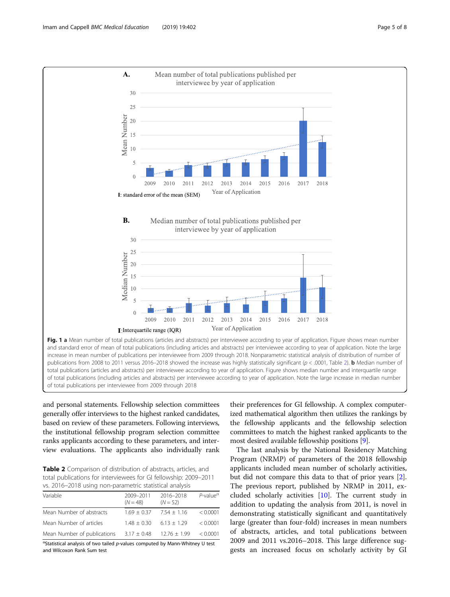<span id="page-4-0"></span>

and standard error of mean of total publications (including articles and abstracts) per interviewee according to year of application. Note the large increase in mean number of publications per interviewee from 2009 through 2018. Nonparametric statistical analysis of distribution of number of publications from 2008 to 2011 versus 2016–2018 showed the increase was highly statistically significant ( $p < .0001$ , Table 2). **b** Median number of total publications (articles and abstracts) per interviewee according to year of application. Figure shows median number and interquartile range of total publications (including articles and abstracts) per interviewee according to year of application. Note the large increase in median number of total publications per interviewee from 2009 through 2018

and personal statements. Fellowship selection committees generally offer interviews to the highest ranked candidates, based on review of these parameters. Following interviews, the institutional fellowship program selection committee ranks applicants according to these parameters, and interview evaluations. The applicants also individually rank

Table 2 Comparison of distribution of abstracts, articles, and total publications for interviewees for GI fellowship: 2009–2011 vs. 2016–2018 using non-parametric statistical analysis

| Variable                    | 2009-2011<br>$(N = 48)$ | 2016-2018<br>$(N = 52)$ | $P$ -value <sup><math>a</math></sup> |
|-----------------------------|-------------------------|-------------------------|--------------------------------------|
| Mean Number of abstracts    | $1.69 + 0.37$           | $7.54 + 1.16$           | < 0.0001                             |
| Mean Number of articles     | $1.48 + 0.30$           | $6.13 + 1.29$           | < 0.0001                             |
| Mean Number of publications | $3.17 \pm 0.48$         | $12.76 \pm 1.99$        | < 0.0001                             |

<sup>α</sup>Statistical analysis of two tailed *p*-values computed by Mann-Whitney U test and Wilcoxon Rank Sum test

their preferences for GI fellowship. A complex computerized mathematical algorithm then utilizes the rankings by the fellowship applicants and the fellowship selection committees to match the highest ranked applicants to the most desired available fellowship positions [[9\]](#page-7-0).

The last analysis by the National Residency Matching Program (NRMP) of parameters of the 2018 fellowship applicants included mean number of scholarly activities, but did not compare this data to that of prior years [\[2](#page-7-0)]. The previous report, published by NRMP in 2011, excluded scholarly activities [\[10\]](#page-7-0). The current study in addition to updating the analysis from 2011, is novel in demonstrating statistically significant and quantitatively large (greater than four-fold) increases in mean numbers of abstracts, articles, and total publications between 2009 and 2011 vs.2016–2018. This large difference suggests an increased focus on scholarly activity by GI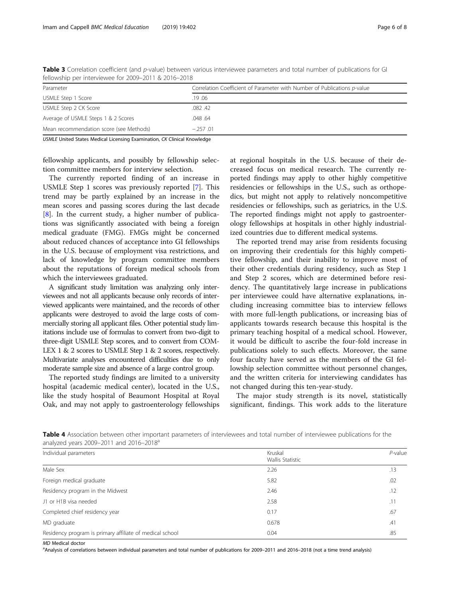| Parameter                               | Correlation Coefficient of Parameter with Number of Publications p-value |  |  |
|-----------------------------------------|--------------------------------------------------------------------------|--|--|
| USMLE Step 1 Score                      | .19 .06                                                                  |  |  |
| USMLE Step 2 CK Score                   | .082.42                                                                  |  |  |
| Average of USMLE Steps 1 & 2 Scores     | .048.64                                                                  |  |  |
| Mean recommendation score (see Methods) | $-257.01$                                                                |  |  |

<span id="page-5-0"></span>Table 3 Correlation coefficient (and p-value) between various interviewee parameters and total number of publications for GI fellowship per interviewee for 2009–2011 & 2016–2018

USMLE United States Medical Licensing Examination, CK Clinical Knowledge

fellowship applicants, and possibly by fellowship selection committee members for interview selection.

The currently reported finding of an increase in USMLE Step 1 scores was previously reported [\[7](#page-7-0)]. This trend may be partly explained by an increase in the mean scores and passing scores during the last decade [[8\]](#page-7-0). In the current study, a higher number of publications was significantly associated with being a foreign medical graduate (FMG). FMGs might be concerned about reduced chances of acceptance into GI fellowships in the U.S. because of employment visa restrictions, and lack of knowledge by program committee members about the reputations of foreign medical schools from which the interviewees graduated.

A significant study limitation was analyzing only interviewees and not all applicants because only records of interviewed applicants were maintained, and the records of other applicants were destroyed to avoid the large costs of commercially storing all applicant files. Other potential study limitations include use of formulas to convert from two-digit to three-digit USMLE Step scores, and to convert from COM-LEX 1 & 2 scores to USMLE Step 1 & 2 scores, respectively. Multivariate analyses encountered difficulties due to only moderate sample size and absence of a large control group.

The reported study findings are limited to a university hospital (academic medical center), located in the U.S., like the study hospital of Beaumont Hospital at Royal Oak, and may not apply to gastroenterology fellowships at regional hospitals in the U.S. because of their decreased focus on medical research. The currently reported findings may apply to other highly competitive residencies or fellowships in the U.S., such as orthopedics, but might not apply to relatively noncompetitive residencies or fellowships, such as geriatrics, in the U.S. The reported findings might not apply to gastroenterology fellowships at hospitals in other highly industrialized countries due to different medical systems.

The reported trend may arise from residents focusing on improving their credentials for this highly competitive fellowship, and their inability to improve most of their other credentials during residency, such as Step 1 and Step 2 scores, which are determined before residency. The quantitatively large increase in publications per interviewee could have alternative explanations, including increasing committee bias to interview fellows with more full-length publications, or increasing bias of applicants towards research because this hospital is the primary teaching hospital of a medical school. However, it would be difficult to ascribe the four-fold increase in publications solely to such effects. Moreover, the same four faculty have served as the members of the GI fellowship selection committee without personnel changes, and the written criteria for interviewing candidates has not changed during this ten-year-study.

The major study strength is its novel, statistically significant, findings. This work adds to the literature

Table 4 Association between other important parameters of interviewees and total number of interviewee publications for the analyzed years 2009–2011 and 2016–2018 $^{\circ}$ 

| Individual parameters                                    | Kruskal<br>Wallis Statistic | $P$ -value |
|----------------------------------------------------------|-----------------------------|------------|
| Male Sex                                                 | 2.26                        | .13        |
|                                                          |                             |            |
| Foreign medical graduate                                 | 5.82                        | .02        |
| Residency program in the Midwest                         | 2.46                        | .12        |
| J1 or H1B visa needed                                    | 2.58                        | .11        |
| Completed chief residency year                           | 0.17                        | .67        |
| MD graduate                                              | 0.678                       | .41        |
| Residency program is primary affiliate of medical school | 0.04                        | .85        |

MD Medical doctor

Analysis of correlations between individual parameters and total number of publications for 2009–2011 and 2016–2018 (not a time trend analysis)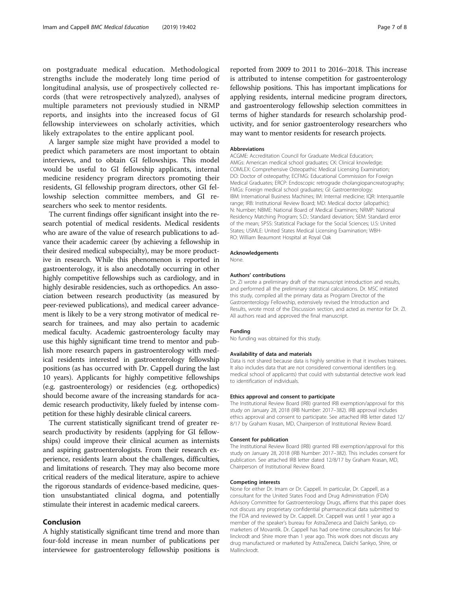on postgraduate medical education. Methodological strengths include the moderately long time period of longitudinal analysis, use of prospectively collected records (that were retrospectively analyzed), analyses of multiple parameters not previously studied in NRMP reports, and insights into the increased focus of GI fellowship interviewees on scholarly activities, which likely extrapolates to the entire applicant pool.

A larger sample size might have provided a model to predict which parameters are most important to obtain interviews, and to obtain GI fellowships. This model would be useful to GI fellowship applicants, internal medicine residency program directors promoting their residents, GI fellowship program directors, other GI fellowship selection committee members, and GI researchers who seek to mentor residents.

The current findings offer significant insight into the research potential of medical residents. Medical residents who are aware of the value of research publications to advance their academic career (by achieving a fellowship in their desired medical subspecialty), may be more productive in research. While this phenomenon is reported in gastroenterology, it is also anecdotally occurring in other highly competitive fellowships such as cardiology, and in highly desirable residencies, such as orthopedics. An association between research productivity (as measured by peer-reviewed publications), and medical career advancement is likely to be a very strong motivator of medical research for trainees, and may also pertain to academic medical faculty. Academic gastroenterology faculty may use this highly significant time trend to mentor and publish more research papers in gastroenterology with medical residents interested in gastroenterology fellowship positions (as has occurred with Dr. Cappell during the last 10 years). Applicants for highly competitive fellowships (e.g. gastroenterology) or residencies (e.g. orthopedics) should become aware of the increasing standards for academic research productivity, likely fueled by intense competition for these highly desirable clinical careers.

The current statistically significant trend of greater research productivity by residents (applying for GI fellowships) could improve their clinical acumen as internists and aspiring gastroenterologists. From their research experience, residents learn about the challenges, difficulties, and limitations of research. They may also become more critical readers of the medical literature, aspire to achieve the rigorous standards of evidence-based medicine, question unsubstantiated clinical dogma, and potentially stimulate their interest in academic medical careers.

## Conclusion

A highly statistically significant time trend and more than four-fold increase in mean number of publications per interviewee for gastroenterology fellowship positions is reported from 2009 to 2011 to 2016–2018. This increase is attributed to intense competition for gastroenterology fellowship positions. This has important implications for applying residents, internal medicine program directors, and gastroenterology fellowship selection committees in terms of higher standards for research scholarship productivity, and for senior gastroenterology researchers who may want to mentor residents for research projects.

#### Abbreviations

ACGME: Accreditation Council for Graduate Medical Education; AMGs: American medical school graduates; CK: Clinical knowledge; COMLEX: Comprehensive Osteopathic Medical Licensing Examination; DO: Doctor of osteopathy; ECFMG: Educational Commission for Foreign Medical Graduates; ERCP: Endoscopic retrograde cholangiopancreatography; FMGs: Foreign medical school graduates; GI: Gastroenterology; IBM: International Business Machines; IM: Internal medicine; IQR: Interquartile range; IRB: Institutional Review Board; MD: Medical doctor (allopathic); N: Number; NBME: National Board of Medical Examiners; NRMP: National Residency Matching Program; S.D.: Standard deviation; SEM: Standard error of the mean; SPSS: Statistical Package for the Social Sciences; U.S: United States; USMLE: United States Medical Licensing Examination; WBH-RO: William Beaumont Hospital at Royal Oak

#### Acknowledgements

None.

#### Authors' contributions

Dr. ZI wrote a preliminary draft of the manuscript introduction and results, and performed all the preliminary statistical calculations. Dr. MSC initiated this study, compiled all the primary data as Program Director of the Gastroenterology Fellowship, extensively revised the Introduction and Results, wrote most of the Discussion section, and acted as mentor for Dr. ZI. All authors read and approved the final manuscript.

#### Funding

No funding was obtained for this study.

#### Availability of data and materials

Data is not shared because data is highly sensitive in that it involves trainees. It also includes data that are not considered conventional identifiers (e.g. medical school of applicants) that could with substantial detective work lead to identification of individuals.

#### Ethics approval and consent to participate

The Institutional Review Board (IRB) granted IRB exemption/approval for this study on January 28, 2018 (IRB Number: 2017–382). IRB approval includes ethics approval and consent to participate. See attached IRB letter dated 12/ 8/17 by Graham Krasan, MD, Chairperson of Institutional Review Board.

#### Consent for publication

The Institutional Review Board (IRB) granted IRB exemption/approval for this study on January 28, 2018 (IRB Number: 2017–382). This includes consent for publication. See attached IRB letter dated 12/8/17 by Graham Krasan, MD, Chairperson of Institutional Review Board.

#### Competing interests

None for either Dr. Imam or Dr. Cappell. In particular, Dr. Cappell, as a consultant for the United States Food and Drug Administration (FDA) Advisory Committee for Gastroenterology Drugs, affirms that this paper does not discuss any proprietary confidential pharmaceutical data submitted to the FDA and reviewed by Dr. Cappell. Dr. Cappell was until 1 year ago a member of the speaker's bureau for AstraZeneca and Daiichi Sankyo, comarketers of Movantik. Dr. Cappell has had one-time consultancies for Mallinckrodt and Shire more than 1 year ago. This work does not discuss any drug manufactured or marketed by AstraZeneca, Daiichi Sankyo, Shire, or Mallinckrodt.